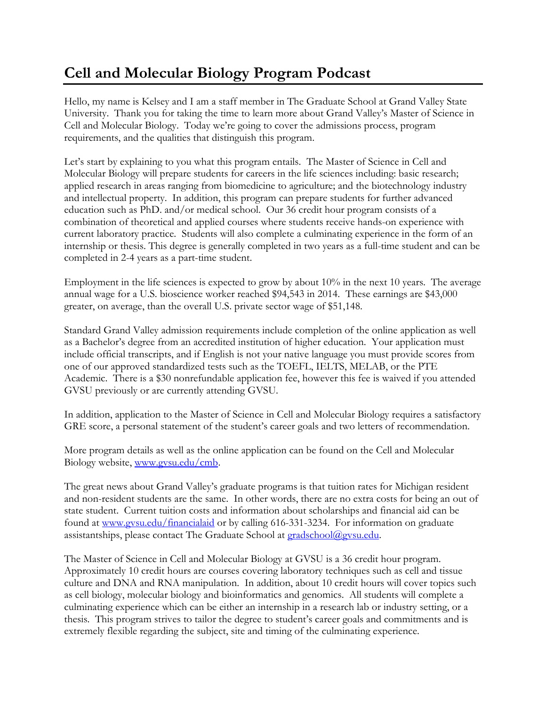## **Cell and Molecular Biology Program Podcast**

Hello, my name is Kelsey and I am a staff member in The Graduate School at Grand Valley State University. Thank you for taking the time to learn more about Grand Valley's Master of Science in Cell and Molecular Biology. Today we're going to cover the admissions process, program requirements, and the qualities that distinguish this program.

Let's start by explaining to you what this program entails. The Master of Science in Cell and Molecular Biology will prepare students for careers in the life sciences including: basic research; applied research in areas ranging from biomedicine to agriculture; and the biotechnology industry and intellectual property. In addition, this program can prepare students for further advanced education such as PhD. and/or medical school. Our 36 credit hour program consists of a combination of theoretical and applied courses where students receive hands-on experience with current laboratory practice. Students will also complete a culminating experience in the form of an internship or thesis. This degree is generally completed in two years as a full-time student and can be completed in 2-4 years as a part-time student.

Employment in the life sciences is expected to grow by about 10% in the next 10 years. The average annual wage for a U.S. bioscience worker reached \$94,543 in 2014. These earnings are \$43,000 greater, on average, than the overall U.S. private sector wage of \$51,148.

Standard Grand Valley admission requirements include completion of the online application as well as a Bachelor's degree from an accredited institution of higher education. Your application must include official transcripts, and if English is not your native language you must provide scores from one of our approved standardized tests such as the TOEFL, IELTS, MELAB, or the PTE Academic. There is a \$30 nonrefundable application fee, however this fee is waived if you attended GVSU previously or are currently attending GVSU.

In addition, application to the Master of Science in Cell and Molecular Biology requires a satisfactory GRE score, a personal statement of the student's career goals and two letters of recommendation.

More program details as well as the online application can be found on the Cell and Molecular Biology website, [www.gvsu.edu/cmb.](http://www.gvsu.edu/cmb)

The great news about Grand Valley's graduate programs is that tuition rates for Michigan resident and non-resident students are the same. In other words, there are no extra costs for being an out of state student. Current tuition costs and information about scholarships and financial aid can be found at [www.gvsu.edu/financialaid](http://www.gvsu.edu/financialaid) or by calling 616-331-3234. For information on graduate assistantships, please contact The Graduate School at [gradschool@gvsu.edu.](mailto:gradschool@gvsu.edu)

The Master of Science in Cell and Molecular Biology at GVSU is a 36 credit hour program. Approximately 10 credit hours are courses covering laboratory techniques such as cell and tissue culture and DNA and RNA manipulation. In addition, about 10 credit hours will cover topics such as cell biology, molecular biology and bioinformatics and genomics. All students will complete a culminating experience which can be either an internship in a research lab or industry setting, or a thesis. This program strives to tailor the degree to student's career goals and commitments and is extremely flexible regarding the subject, site and timing of the culminating experience.